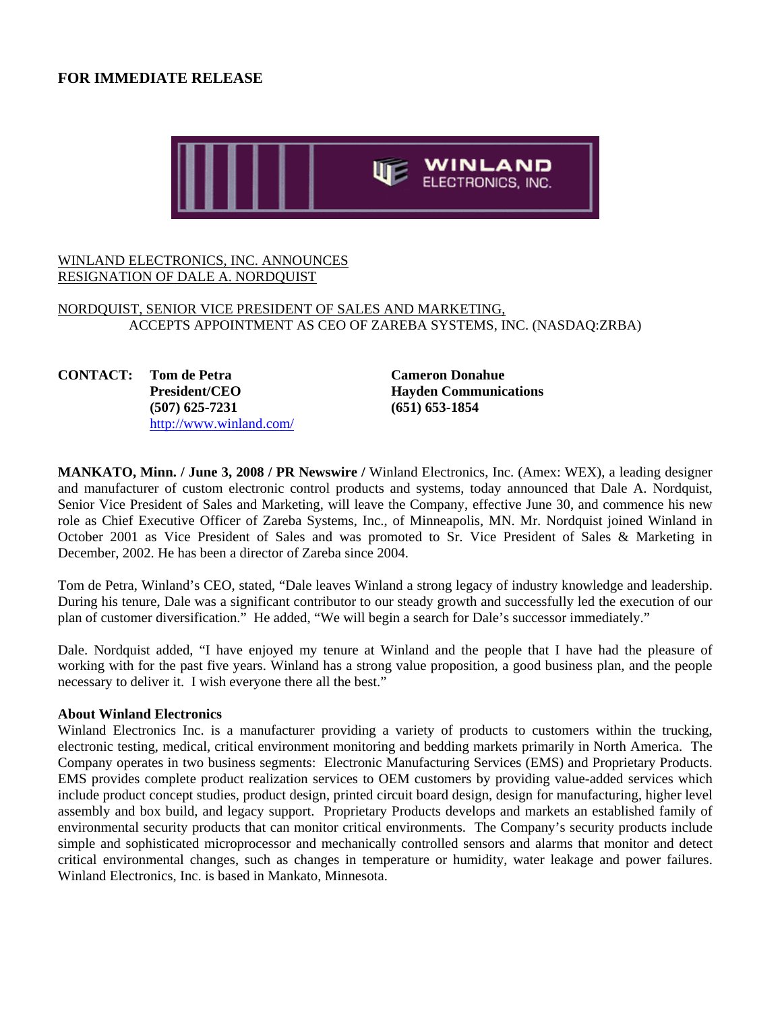# **FOR IMMEDIATE RELEASE**



### WINLAND ELECTRONICS, INC. ANNOUNCES RESIGNATION OF DALE A. NORDQUIST

## NORDQUIST, SENIOR VICE PRESIDENT OF SALES AND MARKETING, ACCEPTS APPOINTMENT AS CEO OF ZAREBA SYSTEMS, INC. (NASDAQ:ZRBA)

**CONTACT: Tom de Petra Cameron Donahue (507) 625-7231 (651) 653-1854** http://www.winland.com/

**President/CEO Hayden Communications** 

**MANKATO, Minn. / June 3, 2008 / PR Newswire /** Winland Electronics, Inc. (Amex: WEX), a leading designer and manufacturer of custom electronic control products and systems, today announced that Dale A. Nordquist, Senior Vice President of Sales and Marketing, will leave the Company, effective June 30, and commence his new role as Chief Executive Officer of Zareba Systems, Inc., of Minneapolis, MN. Mr. Nordquist joined Winland in October 2001 as Vice President of Sales and was promoted to Sr. Vice President of Sales & Marketing in December, 2002. He has been a director of Zareba since 2004.

Tom de Petra, Winland's CEO, stated, "Dale leaves Winland a strong legacy of industry knowledge and leadership. During his tenure, Dale was a significant contributor to our steady growth and successfully led the execution of our plan of customer diversification." He added, "We will begin a search for Dale's successor immediately."

Dale. Nordquist added, "I have enjoyed my tenure at Winland and the people that I have had the pleasure of working with for the past five years. Winland has a strong value proposition, a good business plan, and the people necessary to deliver it. I wish everyone there all the best."

#### **About Winland Electronics**

Winland Electronics Inc. is a manufacturer providing a variety of products to customers within the trucking, electronic testing, medical, critical environment monitoring and bedding markets primarily in North America. The Company operates in two business segments: Electronic Manufacturing Services (EMS) and Proprietary Products. EMS provides complete product realization services to OEM customers by providing value-added services which include product concept studies, product design, printed circuit board design, design for manufacturing, higher level assembly and box build, and legacy support. Proprietary Products develops and markets an established family of environmental security products that can monitor critical environments. The Company's security products include simple and sophisticated microprocessor and mechanically controlled sensors and alarms that monitor and detect critical environmental changes, such as changes in temperature or humidity, water leakage and power failures. Winland Electronics, Inc. is based in Mankato, Minnesota.